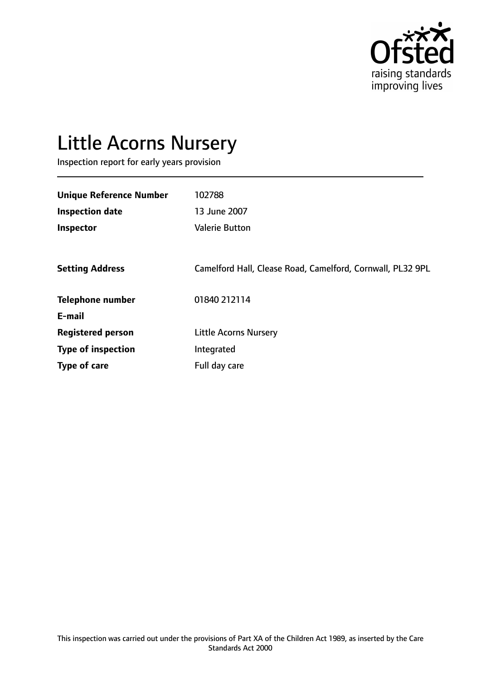

# Little Acorns Nursery

Inspection report for early years provision

| <b>Unique Reference Number</b> | 102788                                                     |
|--------------------------------|------------------------------------------------------------|
| <b>Inspection date</b>         | 13 June 2007                                               |
| Inspector                      | <b>Valerie Button</b>                                      |
|                                |                                                            |
| <b>Setting Address</b>         | Camelford Hall, Clease Road, Camelford, Cornwall, PL32 9PL |
| <b>Telephone number</b>        | 01840 212114                                               |
| E-mail                         |                                                            |
| <b>Registered person</b>       | <b>Little Acorns Nursery</b>                               |
| <b>Type of inspection</b>      | Integrated                                                 |
| <b>Type of care</b>            | Full day care                                              |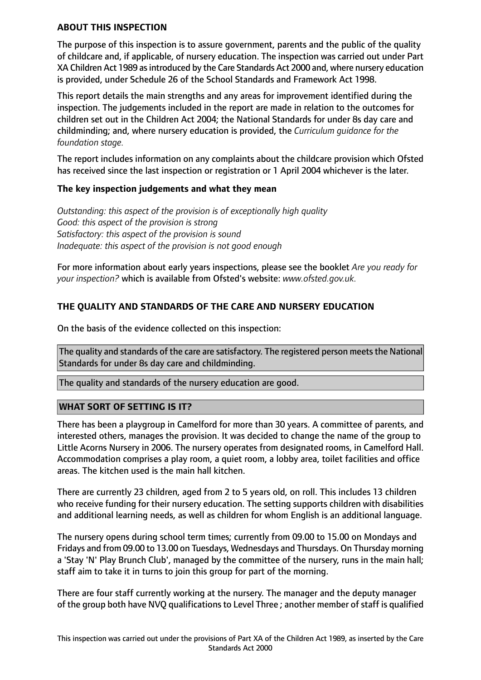## **ABOUT THIS INSPECTION**

The purpose of this inspection is to assure government, parents and the public of the quality of childcare and, if applicable, of nursery education. The inspection was carried out under Part XA Children Act 1989 as introduced by the Care Standards Act 2000 and, where nursery education is provided, under Schedule 26 of the School Standards and Framework Act 1998.

This report details the main strengths and any areas for improvement identified during the inspection. The judgements included in the report are made in relation to the outcomes for children set out in the Children Act 2004; the National Standards for under 8s day care and childminding; and, where nursery education is provided, the *Curriculum guidance for the foundation stage.*

The report includes information on any complaints about the childcare provision which Ofsted has received since the last inspection or registration or 1 April 2004 whichever is the later.

## **The key inspection judgements and what they mean**

*Outstanding: this aspect of the provision is of exceptionally high quality Good: this aspect of the provision is strong Satisfactory: this aspect of the provision is sound Inadequate: this aspect of the provision is not good enough*

For more information about early years inspections, please see the booklet *Are you ready for your inspection?* which is available from Ofsted's website: *www.ofsted.gov.uk.*

## **THE QUALITY AND STANDARDS OF THE CARE AND NURSERY EDUCATION**

On the basis of the evidence collected on this inspection:

The quality and standards of the care are satisfactory. The registered person meets the National Standards for under 8s day care and childminding.

The quality and standards of the nursery education are good.

## **WHAT SORT OF SETTING IS IT?**

There has been a playgroup in Camelford for more than 30 years. A committee of parents, and interested others, manages the provision. It was decided to change the name of the group to Little Acorns Nursery in 2006. The nursery operates from designated rooms, in Camelford Hall. Accommodation comprises a play room, a quiet room, a lobby area, toilet facilities and office areas. The kitchen used is the main hall kitchen.

There are currently 23 children, aged from 2 to 5 years old, on roll. This includes 13 children who receive funding for their nursery education. The setting supports children with disabilities and additional learning needs, as well as children for whom English is an additional language.

The nursery opens during school term times; currently from 09.00 to 15.00 on Mondays and Fridays and from 09.00 to 13.00 on Tuesdays, Wednesdays and Thursdays. On Thursday morning a 'Stay 'N' Play Brunch Club', managed by the committee of the nursery, runs in the main hall; staff aim to take it in turns to join this group for part of the morning.

There are four staff currently working at the nursery. The manager and the deputy manager of the group both have NVQ qualifications to Level Three ; another member of staff is qualified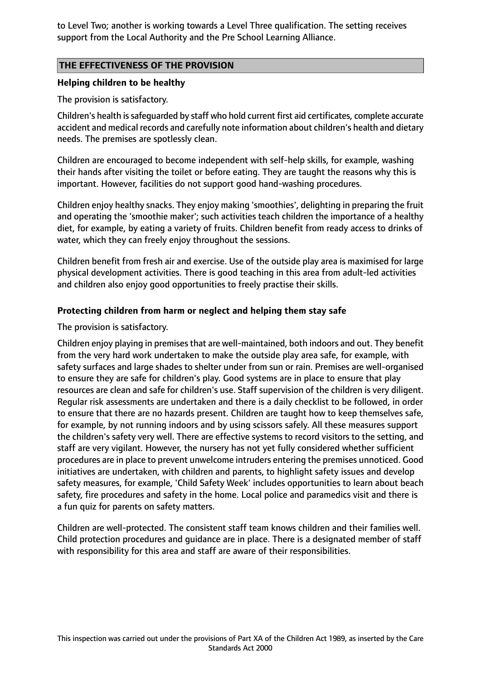to Level Two; another is working towards a Level Three qualification. The setting receives support from the Local Authority and the Pre School Learning Alliance.

## **THE EFFECTIVENESS OF THE PROVISION**

## **Helping children to be healthy**

The provision is satisfactory.

Children's health issafeguarded by staff who hold current first aid certificates, complete accurate accident and medical records and carefully note information about children's health and dietary needs. The premises are spotlessly clean.

Children are encouraged to become independent with self-help skills, for example, washing their hands after visiting the toilet or before eating. They are taught the reasons why this is important. However, facilities do not support good hand-washing procedures.

Children enjoy healthy snacks. They enjoy making 'smoothies', delighting in preparing the fruit and operating the 'smoothie maker'; such activities teach children the importance of a healthy diet, for example, by eating a variety of fruits. Children benefit from ready access to drinks of water, which they can freely enjoy throughout the sessions.

Children benefit from fresh air and exercise. Use of the outside play area is maximised for large physical development activities. There is good teaching in this area from adult-led activities and children also enjoy good opportunities to freely practise their skills.

## **Protecting children from harm or neglect and helping them stay safe**

The provision is satisfactory.

Children enjoy playing in premises that are well-maintained, both indoors and out. They benefit from the very hard work undertaken to make the outside play area safe, for example, with safety surfaces and large shades to shelter under from sun or rain. Premises are well-organised to ensure they are safe for children's play. Good systems are in place to ensure that play resources are clean and safe for children's use. Staff supervision of the children is very diligent. Regular risk assessments are undertaken and there is a daily checklist to be followed, in order to ensure that there are no hazards present. Children are taught how to keep themselves safe, for example, by not running indoors and by using scissors safely. All these measures support the children's safety very well. There are effective systems to record visitors to the setting, and staff are very vigilant. However, the nursery has not yet fully considered whether sufficient procedures are in place to prevent unwelcome intruders entering the premises unnoticed. Good initiatives are undertaken, with children and parents, to highlight safety issues and develop safety measures, for example, 'Child Safety Week' includes opportunities to learn about beach safety, fire procedures and safety in the home. Local police and paramedics visit and there is a fun quiz for parents on safety matters.

Children are well-protected. The consistent staff team knows children and their families well. Child protection procedures and guidance are in place. There is a designated member of staff with responsibility for this area and staff are aware of their responsibilities.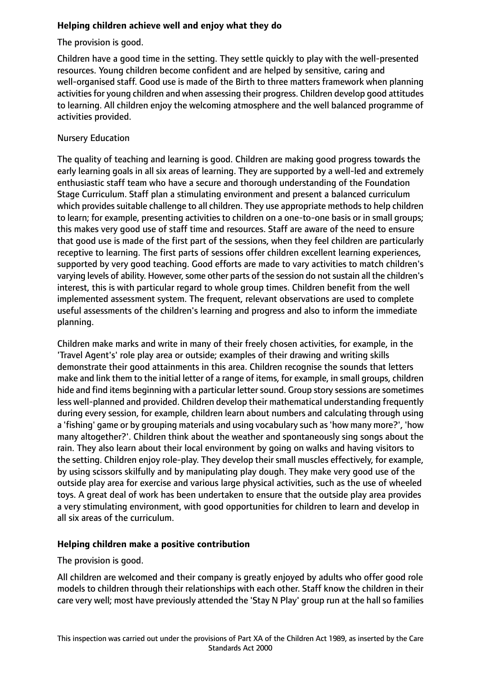# **Helping children achieve well and enjoy what they do**

The provision is good.

Children have a good time in the setting. They settle quickly to play with the well-presented resources. Young children become confident and are helped by sensitive, caring and well-organised staff. Good use is made of the Birth to three matters framework when planning activities for young children and when assessing their progress. Children develop good attitudes to learning. All children enjoy the welcoming atmosphere and the well balanced programme of activities provided.

# Nursery Education

The quality of teaching and learning is good. Children are making good progress towards the early learning goals in all six areas of learning. They are supported by a well-led and extremely enthusiastic staff team who have a secure and thorough understanding of the Foundation Stage Curriculum. Staff plan a stimulating environment and present a balanced curriculum which provides suitable challenge to all children. They use appropriate methods to help children to learn; for example, presenting activities to children on a one-to-one basis or in small groups; this makes very good use of staff time and resources. Staff are aware of the need to ensure that good use is made of the first part of the sessions, when they feel children are particularly receptive to learning. The first parts of sessions offer children excellent learning experiences, supported by very good teaching. Good efforts are made to vary activities to match children's varying levels of ability. However, some other parts of the session do not sustain all the children's interest, this is with particular regard to whole group times. Children benefit from the well implemented assessment system. The frequent, relevant observations are used to complete useful assessments of the children's learning and progress and also to inform the immediate planning.

Children make marks and write in many of their freely chosen activities, for example, in the 'Travel Agent's' role play area or outside; examples of their drawing and writing skills demonstrate their good attainments in this area. Children recognise the sounds that letters make and link them to the initial letter of a range of items, for example, in small groups, children hide and find items beginning with a particular letter sound. Group story sessions are sometimes less well-planned and provided. Children develop their mathematical understanding frequently during every session, for example, children learn about numbers and calculating through using a 'fishing' game or by grouping materials and using vocabulary such as'how many more?', 'how many altogether?'. Children think about the weather and spontaneously sing songs about the rain. They also learn about their local environment by going on walks and having visitors to the setting. Children enjoy role-play. They develop their small muscles effectively, for example, by using scissors skilfully and by manipulating play dough. They make very good use of the outside play area for exercise and various large physical activities, such as the use of wheeled toys. A great deal of work has been undertaken to ensure that the outside play area provides a very stimulating environment, with good opportunities for children to learn and develop in all six areas of the curriculum.

# **Helping children make a positive contribution**

The provision is good.

All children are welcomed and their company is greatly enjoyed by adults who offer good role models to children through their relationships with each other. Staff know the children in their care very well; most have previously attended the 'Stay N Play' group run at the hall so families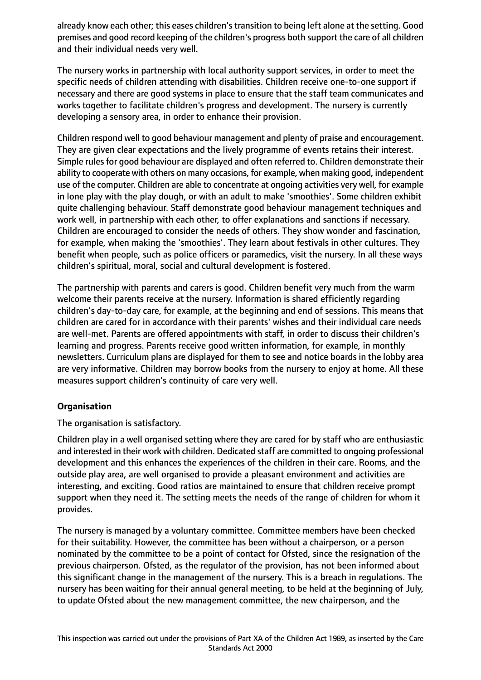already know each other; this eases children's transition to being left alone at the setting. Good premises and good record keeping of the children's progress both support the care of all children and their individual needs very well.

The nursery works in partnership with local authority support services, in order to meet the specific needs of children attending with disabilities. Children receive one-to-one support if necessary and there are good systems in place to ensure that the staff team communicates and works together to facilitate children's progress and development. The nursery is currently developing a sensory area, in order to enhance their provision.

Children respond well to good behaviour management and plenty of praise and encouragement. They are given clear expectations and the lively programme of events retains their interest. Simple rules for good behaviour are displayed and often referred to. Children demonstrate their ability to cooperate with others on many occasions, for example, when making good, independent use of the computer. Children are able to concentrate at ongoing activities very well, for example in lone play with the play dough, or with an adult to make 'smoothies'. Some children exhibit quite challenging behaviour. Staff demonstrate good behaviour management techniques and work well, in partnership with each other, to offer explanations and sanctions if necessary. Children are encouraged to consider the needs of others. They show wonder and fascination, for example, when making the 'smoothies'. They learn about festivals in other cultures. They benefit when people, such as police officers or paramedics, visit the nursery. In all these ways children's spiritual, moral, social and cultural development is fostered.

The partnership with parents and carers is good. Children benefit very much from the warm welcome their parents receive at the nursery. Information is shared efficiently regarding children's day-to-day care, for example, at the beginning and end of sessions. This means that children are cared for in accordance with their parents' wishes and their individual care needs are well-met. Parents are offered appointments with staff, in order to discuss their children's learning and progress. Parents receive good written information, for example, in monthly newsletters. Curriculum plans are displayed for them to see and notice boards in the lobby area are very informative. Children may borrow books from the nursery to enjoy at home. All these measures support children's continuity of care very well.

## **Organisation**

The organisation is satisfactory.

Children play in a well organised setting where they are cared for by staff who are enthusiastic and interested in their work with children. Dedicated staff are committed to ongoing professional development and this enhances the experiences of the children in their care. Rooms, and the outside play area, are well organised to provide a pleasant environment and activities are interesting, and exciting. Good ratios are maintained to ensure that children receive prompt support when they need it. The setting meets the needs of the range of children for whom it provides.

The nursery is managed by a voluntary committee. Committee members have been checked for their suitability. However, the committee has been without a chairperson, or a person nominated by the committee to be a point of contact for Ofsted, since the resignation of the previous chairperson. Ofsted, as the regulator of the provision, has not been informed about this significant change in the management of the nursery. This is a breach in regulations. The nursery has been waiting for their annual general meeting, to be held at the beginning of July, to update Ofsted about the new management committee, the new chairperson, and the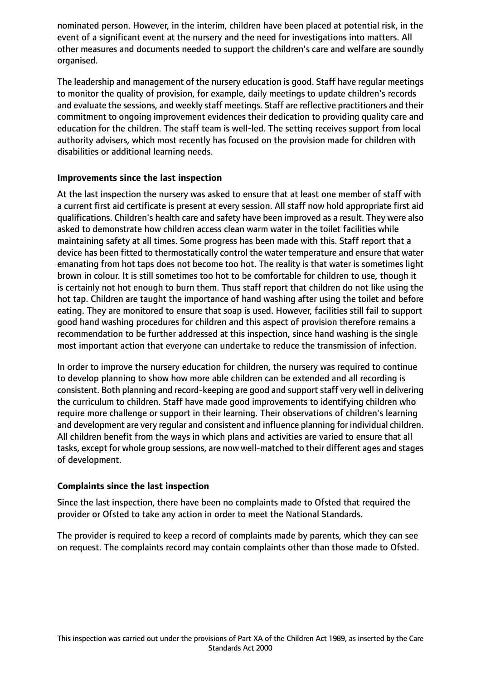nominated person. However, in the interim, children have been placed at potential risk, in the event of a significant event at the nursery and the need for investigations into matters. All other measures and documents needed to support the children's care and welfare are soundly organised.

The leadership and management of the nursery education is good. Staff have regular meetings to monitor the quality of provision, for example, daily meetings to update children's records and evaluate the sessions, and weekly staff meetings. Staff are reflective practitioners and their commitment to ongoing improvement evidences their dedication to providing quality care and education for the children. The staff team is well-led. The setting receives support from local authority advisers, which most recently has focused on the provision made for children with disabilities or additional learning needs.

## **Improvements since the last inspection**

At the last inspection the nursery was asked to ensure that at least one member of staff with a current first aid certificate is present at every session. All staff now hold appropriate first aid qualifications. Children's health care and safety have been improved as a result. They were also asked to demonstrate how children access clean warm water in the toilet facilities while maintaining safety at all times. Some progress has been made with this. Staff report that a device has been fitted to thermostatically control the water temperature and ensure that water emanating from hot taps does not become too hot. The reality is that water is sometimes light brown in colour. It is still sometimes too hot to be comfortable for children to use, though it is certainly not hot enough to burn them. Thus staff report that children do not like using the hot tap. Children are taught the importance of hand washing after using the toilet and before eating. They are monitored to ensure that soap is used. However, facilities still fail to support good hand washing procedures for children and this aspect of provision therefore remains a recommendation to be further addressed at this inspection, since hand washing is the single most important action that everyone can undertake to reduce the transmission of infection.

In order to improve the nursery education for children, the nursery was required to continue to develop planning to show how more able children can be extended and all recording is consistent. Both planning and record-keeping are good and support staff very well in delivering the curriculum to children. Staff have made good improvements to identifying children who require more challenge or support in their learning. Their observations of children's learning and development are very regular and consistent and influence planning for individual children. All children benefit from the ways in which plans and activities are varied to ensure that all tasks, except for whole group sessions, are now well-matched to their different ages and stages of development.

## **Complaints since the last inspection**

Since the last inspection, there have been no complaints made to Ofsted that required the provider or Ofsted to take any action in order to meet the National Standards.

The provider is required to keep a record of complaints made by parents, which they can see on request. The complaints record may contain complaints other than those made to Ofsted.